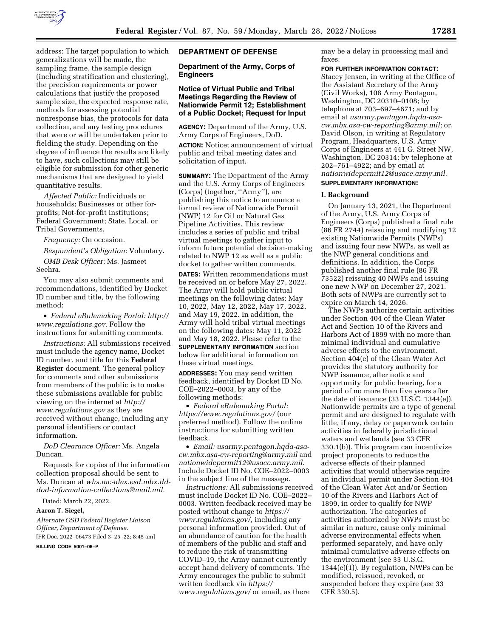

address: The target population to which generalizations will be made, the sampling frame, the sample design (including stratification and clustering), the precision requirements or power calculations that justify the proposed sample size, the expected response rate, methods for assessing potential nonresponse bias, the protocols for data collection, and any testing procedures that were or will be undertaken prior to fielding the study. Depending on the degree of influence the results are likely to have, such collections may still be eligible for submission for other generic mechanisms that are designed to yield quantitative results.

*Affected Public:* Individuals or households; Businesses or other forprofits; Not-for-profit institutions; Federal Government; State, Local, or Tribal Governments.

*Frequency:* On occasion.

*Respondent's Obligation:* Voluntary. *OMB Desk Officer:* Ms. Jasmeet Seehra.

You may also submit comments and recommendations, identified by Docket ID number and title, by the following method:

• *Federal eRulemaking Portal: [http://](http://www.regulations.gov)  [www.regulations.gov.](http://www.regulations.gov)* Follow the instructions for submitting comments.

*Instructions:* All submissions received must include the agency name, Docket ID number, and title for this **Federal Register** document. The general policy for comments and other submissions from members of the public is to make these submissions available for public viewing on the internet at *[http://](http://www.regulations.gov) [www.regulations.gov](http://www.regulations.gov)* as they are received without change, including any personal identifiers or contact information.

*DoD Clearance Officer:* Ms. Angela Duncan.

Requests for copies of the information collection proposal should be sent to Ms. Duncan at *[whs.mc-alex.esd.mbx.dd](mailto:whs.mc-alex.esd.mbx.dd-dod-information-collections@mail.mil)[dod-information-collections@mail.mil.](mailto:whs.mc-alex.esd.mbx.dd-dod-information-collections@mail.mil)* 

Dated: March 22, 2022.

# **Aaron T. Siegel,**

*Alternate OSD Federal Register Liaison Officer, Department of Defense.*  [FR Doc. 2022–06473 Filed 3–25–22; 8:45 am]

**BILLING CODE 5001–06–P** 

# **DEPARTMENT OF DEFENSE**

**Department of the Army, Corps of Engineers** 

# **Notice of Virtual Public and Tribal Meetings Regarding the Review of Nationwide Permit 12; Establishment of a Public Docket; Request for Input**

**AGENCY:** Department of the Army, U.S. Army Corps of Engineers, DoD.

**ACTION:** Notice; announcement of virtual public and tribal meeting dates and solicitation of input.

**SUMMARY:** The Department of the Army and the U.S. Army Corps of Engineers (Corps) (together, ''Army''), are publishing this notice to announce a formal review of Nationwide Permit (NWP) 12 for Oil or Natural Gas Pipeline Activities. This review includes a series of public and tribal virtual meetings to gather input to inform future potential decision-making related to NWP 12 as well as a public docket to gather written comments.

**DATES:** Written recommendations must be received on or before May 27, 2022. The Army will hold public virtual meetings on the following dates: May 10, 2022, May 12, 2022, May 17, 2022, and May 19, 2022. In addition, the Army will hold tribal virtual meetings on the following dates: May 11, 2022 and May 18, 2022. Please refer to the **SUPPLEMENTARY INFORMATION** section below for additional information on these virtual meetings.

**ADDRESSES:** You may send written feedback, identified by Docket ID No. COE–2022–0003, by any of the following methods:

• *Federal eRulemaking Portal: <https://www.regulations.gov/>*(our preferred method). Follow the online instructions for submitting written feedback.

• *Email: [usarmy.pentagon.hqda-asa](mailto:usarmy.pentagon.hqda-asa-cw.mbx.asa-cw-reporting@army.mil)[cw.mbx.asa-cw-reporting@army.mil](mailto:usarmy.pentagon.hqda-asa-cw.mbx.asa-cw-reporting@army.mil)* and *[nationwidepermit12@usace.army.mil.](mailto:nationwidepermit12@usace.army.mil)*  Include Docket ID No. COE–2022–0003 in the subject line of the message.

*Instructions:* All submissions received must include Docket ID No. COE–2022– 0003. Written feedback received may be posted without change to *[https://](https://www.regulations.gov/) [www.regulations.gov/,](https://www.regulations.gov/)* including any personal information provided. Out of an abundance of caution for the health of members of the public and staff and to reduce the risk of transmitting COVID–19, the Army cannot currently accept hand delivery of comments. The Army encourages the public to submit written feedback via *[https://](https://www.regulations.gov/) [www.regulations.gov/](https://www.regulations.gov/)* or email, as there

may be a delay in processing mail and faxes.

**FOR FURTHER INFORMATION CONTACT:**  Stacey Jensen, in writing at the Office of the Assistant Secretary of the Army (Civil Works), 108 Army Pentagon, Washington, DC 20310–0108; by telephone at 703–697–4671; and by email at *[usarmy.pentagon.hqda-asa](mailto:usarmy.pentagon.hqda-asa-cw.mbx.asa-cw-reporting@army.mil)[cw.mbx.asa-cw-reporting@army.mil;](mailto:usarmy.pentagon.hqda-asa-cw.mbx.asa-cw-reporting@army.mil)* or, David Olson, in writing at Regulatory Program, Headquarters, U.S. Army Corps of Engineers at 441 G. Street NW, Washington, DC 20314; by telephone at 202–761–4922; and by email at *[nationwidepermit12@usace.army.mil.](mailto:nationwidepermit12@usace.army.mil)*  **SUPPLEMENTARY INFORMATION:** 

# **I. Background**

On January 13, 2021, the Department of the Army, U.S. Army Corps of Engineers (Corps) published a final rule (86 FR 2744) reissuing and modifying 12 existing Nationwide Permits (NWPs) and issuing four new NWPs, as well as the NWP general conditions and definitions. In addition, the Corps published another final rule (86 FR 73522) reissuing 40 NWPs and issuing one new NWP on December 27, 2021. Both sets of NWPs are currently set to expire on March 14, 2026.

The NWPs authorize certain activities under Section 404 of the Clean Water Act and Section 10 of the Rivers and Harbors Act of 1899 with no more than minimal individual and cumulative adverse effects to the environment. Section 404(e) of the Clean Water Act provides the statutory authority for NWP issuance, after notice and opportunity for public hearing, for a period of no more than five years after the date of issuance (33 U.S.C. 1344(e)). Nationwide permits are a type of general permit and are designed to regulate with little, if any, delay or paperwork certain activities in federally jurisdictional waters and wetlands (see 33 CFR 330.1(b)). This program can incentivize project proponents to reduce the adverse effects of their planned activities that would otherwise require an individual permit under Section 404 of the Clean Water Act and/or Section 10 of the Rivers and Harbors Act of 1899, in order to qualify for NWP authorization. The categories of activities authorized by NWPs must be similar in nature, cause only minimal adverse environmental effects when performed separately, and have only minimal cumulative adverse effects on the environment (see 33 U.S.C. 1344(e)(1)). By regulation, NWPs can be modified, reissued, revoked, or suspended before they expire (see 33 CFR 330.5).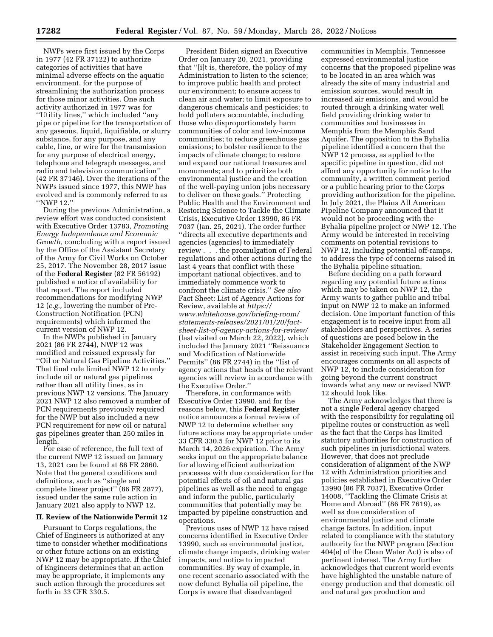NWPs were first issued by the Corps in 1977 (42 FR 37122) to authorize categories of activities that have minimal adverse effects on the aquatic environment, for the purpose of streamlining the authorization process for those minor activities. One such activity authorized in 1977 was for ''Utility lines,'' which included ''any pipe or pipeline for the transportation of any gaseous, liquid, liquifiable, or slurry substance, for any purpose, and any cable, line, or wire for the transmission for any purpose of electrical energy, telephone and telegraph messages, and radio and television communication'' (42 FR 37146). Over the iterations of the NWPs issued since 1977, this NWP has evolved and is commonly referred to as ''NWP 12.''

During the previous Administration, a review effort was conducted consistent with Executive Order 13783, *Promoting Energy Independence and Economic Growth,* concluding with a report issued by the Office of the Assistant Secretary of the Army for Civil Works on October 25, 2017. The November 28, 2017 issue of the **Federal Register** (82 FR 56192) published a notice of availability for that report. The report included recommendations for modifying NWP 12 (*e.g.,* lowering the number of Pre-Construction Notification (PCN) requirements) which informed the current version of NWP 12.

In the NWPs published in January 2021 (86 FR 2744), NWP 12 was modified and reissued expressly for ''Oil or Natural Gas Pipeline Activities.'' That final rule limited NWP 12 to only include oil or natural gas pipelines rather than all utility lines, as in previous NWP 12 versions. The January 2021 NWP 12 also removed a number of PCN requirements previously required for the NWP but also included a new PCN requirement for new oil or natural gas pipelines greater than 250 miles in length.

For ease of reference, the full text of the current NWP 12 issued on January 13, 2021 can be found at 86 FR 2860. Note that the general conditions and definitions, such as ''single and complete linear project'' (86 FR 2877), issued under the same rule action in January 2021 also apply to NWP 12.

## **II. Review of the Nationwide Permit 12**

Pursuant to Corps regulations, the Chief of Engineers is authorized at any time to consider whether modifications or other future actions on an existing NWP 12 may be appropriate. If the Chief of Engineers determines that an action may be appropriate, it implements any such action through the procedures set forth in 33 CFR 330.5.

President Biden signed an Executive Order on January 20, 2021, providing that ''[i]t is, therefore, the policy of my Administration to listen to the science; to improve public health and protect our environment; to ensure access to clean air and water; to limit exposure to dangerous chemicals and pesticides; to hold polluters accountable, including those who disproportionately harm communities of color and low-income communities; to reduce greenhouse gas emissions; to bolster resilience to the impacts of climate change; to restore and expand our national treasures and monuments; and to prioritize both environmental justice and the creation of the well-paying union jobs necessary to deliver on these goals.'' Protecting Public Health and the Environment and Restoring Science to Tackle the Climate Crisis, Executive Order 13990, 86 FR 7037 (Jan. 25, 2021). The order further ''directs all executive departments and agencies (agencies) to immediately review . . . the promulgation of Federal regulations and other actions during the last 4 years that conflict with these important national objectives, and to immediately commence work to confront the climate crisis.'' *See also*  Fact Sheet: List of Agency Actions for Review, available at *[https://](https://www.whitehouse.gov/briefing-room/statements-releases/2021/01/20/fact-sheet-list-of-agency-actions-for-review/) [www.whitehouse.gov/briefing-room/](https://www.whitehouse.gov/briefing-room/statements-releases/2021/01/20/fact-sheet-list-of-agency-actions-for-review/) [statements-releases/2021/01/20/fact](https://www.whitehouse.gov/briefing-room/statements-releases/2021/01/20/fact-sheet-list-of-agency-actions-for-review/)[sheet-list-of-agency-actions-for-review/](https://www.whitehouse.gov/briefing-room/statements-releases/2021/01/20/fact-sheet-list-of-agency-actions-for-review/)*  (last visited on March 22, 2022), which included the January 2021 ''Reissuance and Modification of Nationwide Permits'' (86 FR 2744) in the ''list of agency actions that heads of the relevant agencies will review in accordance with the Executive Order.''

Therefore, in conformance with Executive Order 13990, and for the reasons below, this **Federal Register**  notice announces a formal review of NWP 12 to determine whether any future actions may be appropriate under 33 CFR 330.5 for NWP 12 prior to its March 14, 2026 expiration. The Army seeks input on the appropriate balance for allowing efficient authorization processes with due consideration for the potential effects of oil and natural gas pipelines as well as the need to engage and inform the public, particularly communities that potentially may be impacted by pipeline construction and operations.

Previous uses of NWP 12 have raised concerns identified in Executive Order 13990, such as environmental justice, climate change impacts, drinking water impacts, and notice to impacted communities. By way of example, in one recent scenario associated with the now defunct Byhalia oil pipeline, the Corps is aware that disadvantaged

communities in Memphis, Tennessee expressed environmental justice concerns that the proposed pipeline was to be located in an area which was already the site of many industrial and emission sources, would result in increased air emissions, and would be routed through a drinking water well field providing drinking water to communities and businesses in Memphis from the Memphis Sand Aquifer. The opposition to the Byhalia pipeline identified a concern that the NWP 12 process, as applied to the specific pipeline in question, did not afford any opportunity for notice to the community, a written comment period or a public hearing prior to the Corps providing authorization for the pipeline. In July 2021, the Plains All American Pipeline Company announced that it would not be proceeding with the Byhalia pipeline project or NWP 12. The Army would be interested in receiving comments on potential revisions to NWP 12, including potential off-ramps, to address the type of concerns raised in the Byhalia pipeline situation.

Before deciding on a path forward regarding any potential future actions which may be taken on NWP 12, the Army wants to gather public and tribal input on NWP 12 to make an informed decision. One important function of this engagement is to receive input from all stakeholders and perspectives. A series of questions are posed below in the Stakeholder Engagement Section to assist in receiving such input. The Army encourages comments on all aspects of NWP 12, to include consideration for going beyond the current construct towards what any new or revised NWP 12 should look like.

The Army acknowledges that there is not a single Federal agency charged with the responsibility for regulating oil pipeline routes or construction as well as the fact that the Corps has limited statutory authorities for construction of such pipelines in jurisdictional waters. However, that does not preclude consideration of alignment of the NWP 12 with Administration priorities and policies established in Executive Order 13990 (86 FR 7037), Executive Order 14008, ''Tackling the Climate Crisis at Home and Abroad'' (86 FR 7619), as well as due consideration of environmental justice and climate change factors. In addition, input related to compliance with the statutory authority for the NWP program (Section 404(e) of the Clean Water Act) is also of pertinent interest. The Army further acknowledges that current world events have highlighted the unstable nature of energy production and that domestic oil and natural gas production and